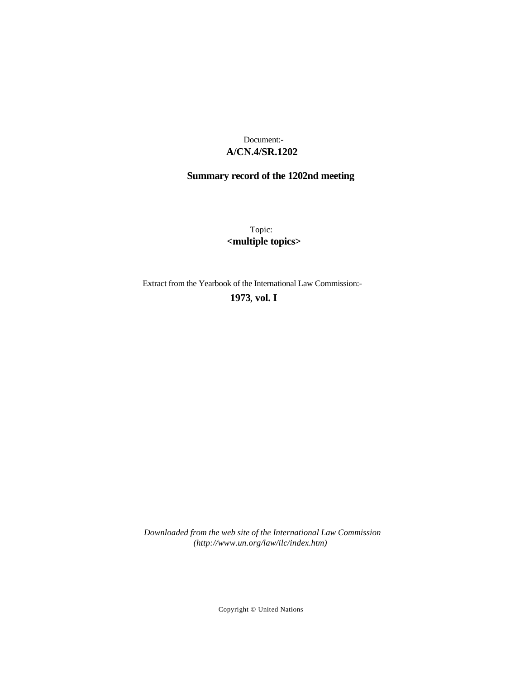# **A/CN.4/SR.1202** Document:-

# **Summary record of the 1202nd meeting**

Topic: **<multiple topics>**

Extract from the Yearbook of the International Law Commission:-

## **1973** , **vol. I**

*Downloaded from the web site of the International Law Commission (http://www.un.org/law/ilc/index.htm)*

Copyright © United Nations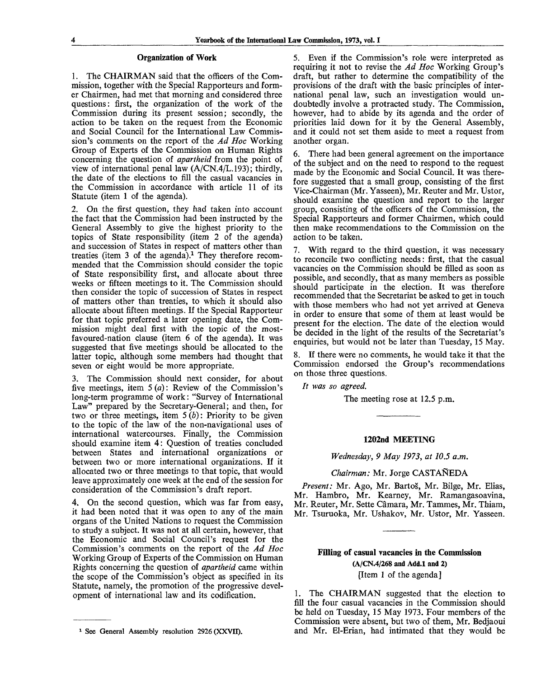#### **Organization of Work**

1. The CHAIRMAN said that the officers of the Commission, together with the Special Rapporteurs and former Chairmen, had met that morning and considered three questions: first, the organization of the work of the Commission during its present session; secondly, the action to be taken on the request from the Economic and Social Council for the International Law Commission's comments on the report of the *Ad Hoc* Working Group of Experts of the Commission on Human Rights concerning the question of *apartheid* from the point of view of international penal law (A/CN.4/L.193); thirdly, the date of the elections to fill the casual vacancies in the Commission in accordance with article 11 of its Statute (item 1 of the agenda).

2. On the first question, they had taken into account the fact that the Commission had been instructed by the General Assembly to give the highest priority to the topics of State responsibility (item 2 of the agenda) and succession of States in respect of matters other than treaties (item 3 of the agenda).<sup>1</sup> They therefore recommended that the Commission should consider the topic of State responsibility first, and allocate about three weeks or fifteen meetings to it. The Commission should then consider the topic of succession of States in respect of matters other than treaties, to which it should also allocate about fifteen meetings. If the Special Rapporteur for that topic preferred a later opening date, the Commission might deal first with the topic of the mostfavoured-nation clause (item 6 of the agenda). It was suggested that five meetings should be allocated to the latter topic, although some members had thought that seven or eight would be more appropriate.

3. The Commission should next consider, for about five meetings, item  $5(a)$ : Review of the Commission's long-term programme of work: "Survey of International Law" prepared by the Secretary-General; and then, for two or three meetings, item 5 *(b)*: Priority to be given to the topic of the law of the non-navigational uses of international watercourses. Finally, the Commission should examine item 4: Question of treaties concluded between States and international organizations or between two or more international organizations. If it allocated two or three meetings to that topic, that would leave approximately one week at the end of the session for consideration of the Commission's draft report.

4. On the second question, which was far from easy, it had been noted that it was open to any of the main organs of the United Nations to request the Commission to study a subject. It was not at all certain, however, that the Economic and Social Council's request for the Commission's comments on the report of the *Ad Hoc* Working Group of Experts of the Commission on Human Rights concerning the question of *apartheid* came within the scope of the Commission's object as specified in its Statute, namely, the promotion of the progressive development of international law and its codification.

5. Even if the Commission's role were interpreted as requiring it not to revise the *Ad Hoc* Working Group's draft, but rather to determine the compatibility of the provisions of the draft with the basic principles of international penal law, such an investigation would undoubtedly involve a protracted study. The Commission, however, had to abide by its agenda and the order of priorities laid down for it by the General Assembly, and it could not set them aside to meet a request from another organ.

6. There had been general agreement on the importance of the subject and on the need to respond to the request made by the Economic and Social Council. It was therefore suggested that a small group, consisting of the first Vice-Chairman (Mr. Yasseen), Mr. Reuter and Mr. Ustor, should examine the question and report to the larger group, consisting of the officers of the Commission, the Special Rapporteurs and former Chairmen, which could then make recommendations to the Commission on the action to be taken.

7. With regard to the third question, it was necessary to reconcile two conflicting needs: first, that the casual vacancies on the Commission should be filled as soon as possible, and secondly, that as many members as possible should participate in the election. It was therefore recommended that the Secretariat be asked to get in touch with those members who had not yet arrived at Geneva in order to ensure that some of them at least would be present for the election. The date of the election would be decided in the light of the results of the Secretariat's enquiries, but would not be later than Tuesday, 15 May.

8. If there were no comments, he would take it that the Commission endorsed the Group's recommendations on those three questions.

*It was so agreed.*

The meeting rose at 12.5 p.m.

#### **1202nd MEETING**

*Wednesday, 9 May 1973, at 10.5 a.m.*

*Chairman:* Mr. Jorge CASTANEDA

*Present:* Mr. Ago, Mr. Bartos, Mr. Bilge, Mr. Elias, Mr. Hambro, Mr. Kearney, Mr. Ramangasoavina, Mr. Reuter, Mr. Sette Camara, Mr. Tammes, Mr. Thiam, Mr. Tsuruoka, Mr. Ushakov, Mr. Ustor, Mr. Yasseen.

## **Filling of casual vacancies in the Commission (A/CN.4/268 and Add.l and 2)** [Item 1 of the agenda]

1. The CHAIRMAN suggested that the election to fill the four casual vacancies in the Commission should be held on Tuesday, 15 May 1973. Four members of the Commission were absent, but two of them, Mr. Bedjaoui and Mr. El-Erian, had intimated that they would be

<sup>&</sup>lt;sup>1</sup> See General Assembly resolution 2926 (XXVII).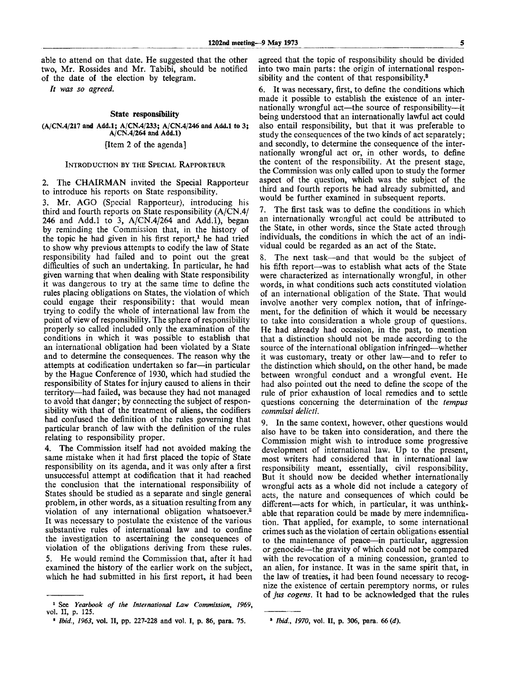able to attend on that date. He suggested that the other two, Mr. Rossides and Mr. Tabibi, should be notified of the date of the election by telegram.

*It was so agreed.*

#### **State responsibility**

(A/CN.4/217 and Add.l; A/CN.4/233; A/CN.4/246 and Add.l to 3; A/CN.4/264 and Add.l) [Item 2 of the agenda]

#### INTRODUCTION BY THE SPECIAL RAPPORTEUR

2. The CHAIRMAN invited the Special Rapporteur to introduce his reports on State responsibility.

3. Mr. AGO (Special Rapporteur), introducing his third and fourth reports on State responsibility (A/CN.4/ 246 and Add.l to 3, A/CN.4/264 and Add.l), began by reminding the Commission that, in the history of the topic he had given in his first report,<sup>1</sup> he had tried to show why previous attempts to codify the law of State responsibility had failed and to point out the great difficulties of such an undertaking. In particular, he had given warning that when dealing with State responsibility it was dangerous to try at the same time to define the rules placing obligations on States, the violation of which could engage their responsibility: that would mean trying to codify the whole of international law from the point of view of responsibility. The sphere of responsibility properly so called included only the examination of the conditions in which it was possible to establish that an international obligation had been violated by a State and to determine the consequences. The reason why the attempts at codification undertaken so far—in particular by the Hague Conference of 1930, which had studied the responsibility of States for injury caused to aliens in their territory—had failed, was because they had not managed to avoid that danger; by connecting the subject of responsibility with that of the treatment of aliens, the codifiers had confused the definition of the rules governing that particular branch of law with the definition of the rules relating to responsibility proper.

4. The Commission itself had not avoided making the same mistake when it had first placed the topic of State responsibility on its agenda, and it was only after a first unsuccessful attempt at codification that it had reached the conclusion that the international responsibility of States should be studied as a separate and single general problem, in other words, as a situation resulting from any violation of any international obligation whatsoever.<sup>2</sup> It was necessary to postulate the existence of the various substantive rules of international law and to confine the investigation to ascertaining the consequences of violation of the obligations deriving from these rules. 5. He would remind the Commission that, after it had examined the history of the earlier work on the subject, which he had submitted in his first report, it had been

agreed that the topic of responsibility should be divided into two main parts: the origin of international responsibility and the content of that responsibility.<sup>3</sup>

6. It was necessary, first, to define the conditions which made it possible to establish the existence of an internationally wrongful act—the source of responsibility—it being understood that an internationally lawful act could also entail responsibility, but that it was preferable to study the consequences of the two kinds of act separately; and secondly, to determine the consequence of the internationally wrongful act or, in other words, to define the content of the responsibility. At the present stage, the Commission was only called upon to study the former aspect of the question, which was the subject of the third and fourth reports he had already submitted, and would be further examined in subsequent reports.

7. The first task was to define the conditions in which an internationally wrongful act could be attributed to the State, in other words, since the State acted through individuals, the conditions in which the act of an individual could be regarded as an act of the State.

8. The next task—and that would be the subject of his fifth report—was to establish what acts of the State were characterized as internationally wrongful, in other words, in what conditions such acts constituted violation of an international obligation of the State. That would involve another very complex notion, that of infringement, for the definition of which it would be necessary to take into consideration a whole group of questions. He had already had occasion, in the past, to mention that a distinction should not be made according to the source of the international obligation infringed—whether it was customary, treaty or other law—and to refer to the distinction which should, on the other hand, be made between wrongful conduct and a wrongful event. He had also pointed out the need to define the scope of the rule of prior exhaustion of local remedies and to settle questions concerning the determination of the *tempus commissi delicti.*

9. In the same context, however, other questions would also have to be taken into consideration, and there the Commission might wish to introduce some progressive development of international law. Up to the present, most writers had considered that in international law responsibility meant, essentially, civil responsibility. But it should now be decided whether internationally wrongful acts as a whole did not include a category of acts, the nature and consequences of which could be different—acts for which, in particular, it was unthinkable that reparation could be made by mere indemnification. That applied, for example, to some international crimes such as the violation of certain obligations essential to the maintenance of peace—in particular, aggression or genocide—the gravity of which could not be compared with the revocation of a mining concession, granted to an alien, for instance. It was in the same spirit that, in the law of treaties, it had been found necessary to recognize the existence of certain peremptory norms, or rules of *jus cogens.* It had to be acknowledged that the rules

<sup>1</sup> See *Yearbook of the International Law Commission, 1969,* vol. II, p. 125.

<sup>2</sup>  *Ibid., 1963,* vol. II, pp. 227-228 and vol. I, p. 86, para. 75.

<sup>8</sup>  *Ibid., 1970,* vol. II, p. 306, para. 66 *(d).*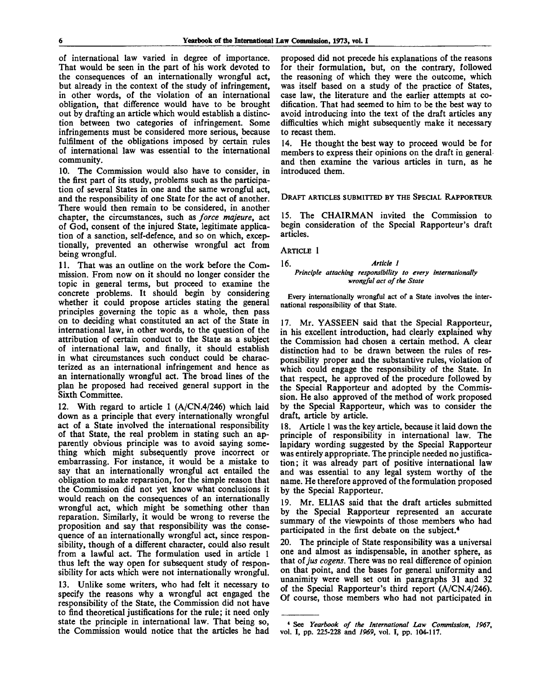of international law varied in degree of importance. That would be seen in the part of his work devoted to the consequences of an internationally wrongful act, but already in the context of the study of infringement, in other words, of the violation of an international obligation, that difference would have to be brought out by drafting an article which would establish a distinction between two categories of infringement. Some infringements must be considered more serious, because fulfilment of the obligations imposed by certain rules of international law was essential to the international community.

10. The Commission would also have to consider, in the first part of its study, problems such as the participation of several States in one and the same wrongful act, and the responsibility of one State for the act of another. There would then remain to be considered, in another chapter, the circumstances, such as *force majeure,* act of God, consent of the injured State, legitimate application of a sanction, self-defence, and so on which, exceptionally, prevented an otherwise wrongful act from being wrongful.

11. That was an outline on the work before the Commission. From now on it should no longer consider the topic in general terms, but proceed to examine the concrete problems. It should begin by considering whether it could propose articles stating the general principles governing the topic as a whole, then pass on to deciding what constituted an act of the State in international law, in other words, to the question of the attribution of certain conduct to the State as a subject of international law, and finally, it should establish in what circumstances such conduct could be characterized as an international infringement and hence as an internationally wrongful act. The broad lines of the plan he proposed had received general support in the Sixth Committee.

12. With regard to article 1 (A/CN.4/246) which laid down as a principle that every internationally wrongful act of a State involved the international responsibility of that State, the real problem in stating such an apparently obvious principle was to avoid saying something which might subsequently prove incorrect or embarrassing. For instance, it would be a mistake to say that an internationally wrongful act entailed the obligation to make reparation, for the simple reason that the Commission did not yet know what conclusions it would reach on the consequences of an internationally wrongful act, which might be something other than reparation. Similarly, it would be wrong to reverse the proposition and say that responsibility was the consequence of an internationally wrongful act, since responsibility, though of a different character, could also result from a lawful act. The formulation used in article 1 thus left the way open for subsequent study of responsibility for acts which were not internationally wrongful.

13. Unlike some writers, who had felt it necessary to specify the reasons why a wrongful act engaged the responsibility of the State, the Commission did not have to find theoretical justifications for the rule; it need only state the principle in international law. That being so, the Commission would notice that the articles he had proposed did not precede his explanations of the reasons for their formulation, but, on the contrary, followed the reasoning of which they were the outcome, which was itself based on a study of the practice of States, case law, the literature and the earlier attempts at codification. That had seemed to him to be the best way to avoid introducing into the text of the draft articles any difficulties which might subsequently make it necessary to recast them.

14. He thought the best way to proceed would be for members to express their opinions on the draft in general and then examine the various articles in turn, as he introduced them.

DRAFT ARTICLES SUBMITTED BY THE SPECIAL RAPPORTEUR

15. The CHAIRMAN invited the Commission to begin consideration of the Special Rapporteur's draft articles.

ARTICLE 1

#### 16. *Article 1 Principle attaching responsibility to every internationally wrongful act of the State*

Every internationally wrongful act of a State involves the international responsibility of that State.

17. Mr. YASSEEN said that the Special Rapporteur, in his excellent introduction, had clearly explained why the Commission had chosen a certain method. A clear distinction had to be drawn between the rules of responsibility proper and the substantive rules, violation of which could engage the responsibility of the State. In that respect, he approved of the procedure followed by the Special Rapporteur and adopted by the Commission. He also approved of the method of work proposed by the Special Rapporteur, which was to consider the draft, article by article.

18. Article 1 was the key article, because it laid down the principle of responsibility in international law. The lapidary wording suggested by the Special Rapporteur was entirely appropriate. The principle needed no justification; it was already part of positive international law and was essential to any legal system worthy of the name. He therefore approved of the formulation proposed by the Special Rapporteur.

19. Mr. ELIAS said that the draft articles submitted by the Special Rapporteur represented an accurate summary of the viewpoints of those members who had participated in the first debate on the subject.<sup>4</sup>

20. The principle of State responsibility was a universal one and almost as indispensable, in another sphere, as that of *jus cogens.* There was no real difference of opinion on that point, and the bases for general uniformity and unanimity were well set out in paragraphs 31 and 32 of the Special Rapporteur's third report (A/CN.4/246). Of course, those members who had not participated in

<sup>\*</sup> See *Yearbook of the International Law Commission, 1967,* vol. **I,** pp. 225-228 and *1969,* vol. I, pp. 104-117.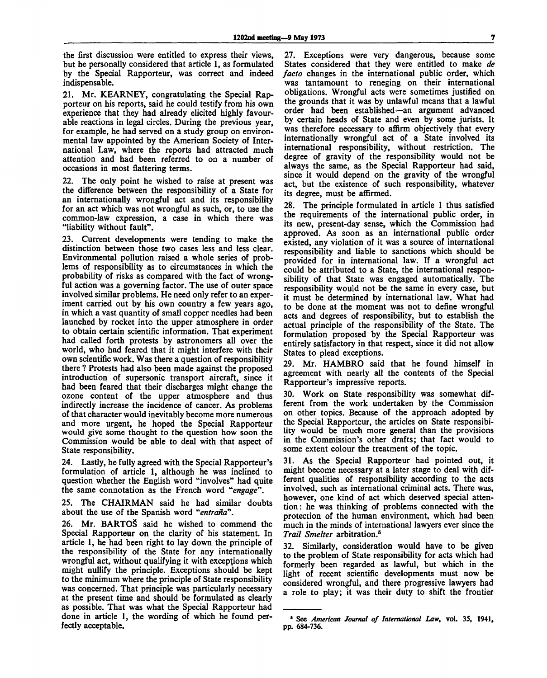the first discussion were entitled to express their views, but he personally considered that article 1, as formulated by the Special Rapporteur, was correct and indeed indispensable.

21. Mr. KEARNEY, congratulating the Special Rapporteur on his reports, said he could testify from his own experience that they had already elicited highly favourable reactions in legal circles. During the previous year, for example, he had served on a study group on environmental law appointed by the American Society of International Law, where the reports had attracted much attention and had been referred to on a number of occasions in most flattering terms.

22. The only point he wished to raise at present was the difference between the responsibility of a State for an internationally wrongful act and its responsibility for an act which was not wrongful as such, or, to use the common-law expression, a case in which there was "liability without fault".

23. Current developments were tending to make the distinction between those two cases less and less clear. Environmental pollution raised a whole series of problems of responsibility as to circumstances in which the probability of risks as compared with the fact of wrongful action was a governing factor. The use of outer space involved similar problems. He need only refer to an experiment carried out by his own country a few years ago, in which a vast quantity of small copper needles had been launched by rocket into the upper atmosphere in order to obtain certain scientific information. That experiment had called forth protests by astronomers all over the world, who had feared that it might interfere with their own scientific work. Was there a question of responsibility there ? Protests had also been made against the proposed introduction of supersonic transport aircraft, since it had been feared that their discharges might change the ozone content of the upper atmosphere and thus indirectly increase the incidence of cancer. As problems of that character would inevitably become more numerous and more urgent, he hoped the Special Rapporteur would give some thought to the question how soon the Commission would be able to deal with that aspect of State responsibility.

24. Lastly, he fully agreed with the Special Rapporteur's formulation of article 1, although he was inclined to question whether the English word "involves" had quite the same connotation as the French word *"engage".*

25. The CHAIRMAN said he had similar doubts about the use of the Spanish word *"entrana".*

26. Mr. BARTOS said he wished to commend the Special Rapporteur on the clarity of his statement. In article 1, he had been right to lay down the principle of the responsibility of the State for any internationally wrongful act, without qualifying it with exceptions which might nullify the principle. Exceptions should be kept to the minimum where the principle of State responsibility was concerned. That principle was particularly necessary at the present time and should be formulated as clearly as possible. That was what the Special Rapporteur had done in article 1, the wording of which he found perfectly acceptable.

27. Exceptions were very dangerous, because some States considered that they were entitled to make *de facto* changes in the international public order, which was tantamount to reneging on their international obligations. Wrongful acts were sometimes justified on the grounds that it was by unlawful means that a lawful order had been established—an argument advanced by certain heads of State and even by some jurists. It was therefore necessary to affirm objectively that every internationally wrongful act of a State involved its international responsibility, without restriction. The degree of gravity of the responsibility would not be always the same, as the Special Rapporteur had said, since it would depend on the gravity of the wrongful act, but the existence of such responsibility, whatever its degree, must be affirmed.

28. The principle formulated in article 1 thus satisfied the requirements of the international public order, in its new, present-day sense, which the Commission had approved. As soon as an international public order existed, any violation of it was a source of international responsibility and liable to sanctions which should be provided for in international law. If a wrongful act could be attributed to a State, the international responsibility of that State was engaged automatically. The responsibility would not be the same in every case, but it must be determined by international law. What had to be done at the moment was not to define wrongful acts and degrees of responsibility, but to establish the actual principle of the responsibility of the State. The formulation proposed by the Special Rapporteur was entirely satisfactory in that respect, since it did not allow States to plead exceptions.

29. Mr. HAMBRO said that he found himself in agreement with nearly all the contents of the Special Rapporteur's impressive reports.

30. Work on State responsibility was somewhat different from the work undertaken by the Commission on other topics. Because of the approach adopted by the Special Rapporteur, the articles on State responsibility would be much more general than the provisions in the Commission's other drafts; that fact would to some extent colour the treatment of the topic.

31. As the Special Rapporteur had pointed out, it might become necessary at a later stage to deal with different qualities of responsibility according to the acts involved, such as international criminal acts. There was, however, one kind of act which deserved special attention: he was thinking of problems connected with the protection of the human environment, which had been much in the minds of international lawyers ever since the *Trail Smelter* arbitration.<sup>6</sup>

32. Similarly, consideration would have to be given to the problem of State responsibility for acts which had formerly been regarded as lawful, but which in the light of recent scientific developments must now be considered wrongful, and there progressive lawyers had a role to play; it was their duty to shift the frontier

<sup>5</sup> See *American Journal of International Law,* vol. 35, **1941,** pp. 684-736.